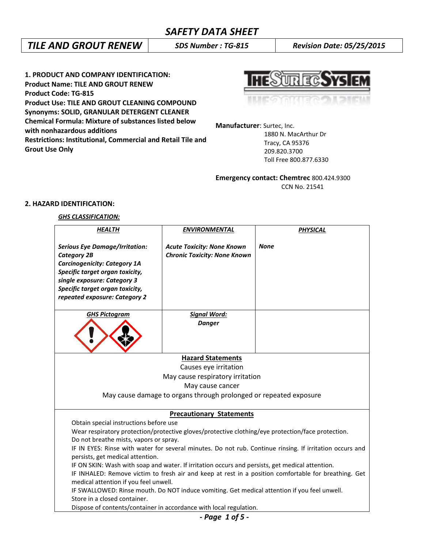# *TILE AND GROUT RENEW SDS Number : TG-815 Revision Date: 05/25/2015*

**1. PRODUCT AND COMPANY IDENTIFICATION: Product Name: TILE AND GROUT RENEW Product Code: TG-815 Product Use: TILE AND GROUT CLEANING COMPOUND Synonyms: SOLID, GRANULAR DETERGENT CLEANER Chemical Formula: Mixture of substances listed below with nonhazardous additions Restrictions: Institutional, Commercial and Retail Tile and Grout Use Only**



**Manufacturer**: Surtec, Inc.

 1880 N. MacArthur Dr Tracy, CA 95376 209.820.3700 Toll Free 800.877.6330

**Emergency contact: Chemtrec** 800.424.9300 CCN No. 21541

## **2. HAZARD IDENTIFICATION:**

## *GHS CLASSIFICATION:*

| <b>HEALTH</b>                                                                                                                                                                                                                            | <b>ENVIRONMENTAL</b>                                                     | <b>PHYSICAL</b>                                                                                      |  |  |  |
|------------------------------------------------------------------------------------------------------------------------------------------------------------------------------------------------------------------------------------------|--------------------------------------------------------------------------|------------------------------------------------------------------------------------------------------|--|--|--|
| <b>Serious Eye Damage/Irritation:</b><br><b>Category 2B</b><br><b>Carcinogenicity: Category 1A</b><br>Specific target organ toxicity,<br>single exposure: Category 3<br>Specific target organ toxicity,<br>repeated exposure: Category 2 | <b>Acute Toxicity: None Known</b><br><b>Chronic Toxicity: None Known</b> | <b>None</b>                                                                                          |  |  |  |
| <b>GHS Pictogram</b>                                                                                                                                                                                                                     | Signal Word:<br><b>Danger</b>                                            |                                                                                                      |  |  |  |
|                                                                                                                                                                                                                                          | <b>Hazard Statements</b>                                                 |                                                                                                      |  |  |  |
|                                                                                                                                                                                                                                          | Causes eye irritation                                                    |                                                                                                      |  |  |  |
|                                                                                                                                                                                                                                          | May cause respiratory irritation                                         |                                                                                                      |  |  |  |
|                                                                                                                                                                                                                                          | May cause cancer                                                         |                                                                                                      |  |  |  |
| May cause damage to organs through prolonged or repeated exposure                                                                                                                                                                        |                                                                          |                                                                                                      |  |  |  |
|                                                                                                                                                                                                                                          | <b>Precautionary Statements</b>                                          |                                                                                                      |  |  |  |
| Obtain special instructions before use                                                                                                                                                                                                   |                                                                          |                                                                                                      |  |  |  |
|                                                                                                                                                                                                                                          |                                                                          | Wear respiratory protection/protective gloves/protective clothing/eye protection/face protection.    |  |  |  |
| Do not breathe mists, vapors or spray.                                                                                                                                                                                                   |                                                                          |                                                                                                      |  |  |  |
| IF IN EYES: Rinse with water for several minutes. Do not rub. Continue rinsing. If irritation occurs and                                                                                                                                 |                                                                          |                                                                                                      |  |  |  |
| persists, get medical attention.                                                                                                                                                                                                         |                                                                          |                                                                                                      |  |  |  |
| IF ON SKIN: Wash with soap and water. If irritation occurs and persists, get medical attention.                                                                                                                                          |                                                                          |                                                                                                      |  |  |  |
|                                                                                                                                                                                                                                          |                                                                          | IF INHALED: Remove victim to fresh air and keep at rest in a position comfortable for breathing. Get |  |  |  |
| medical attention if you feel unwell.                                                                                                                                                                                                    |                                                                          |                                                                                                      |  |  |  |
| IF SWALLOWED: Rinse mouth. Do NOT induce vomiting. Get medical attention if you feel unwell.                                                                                                                                             |                                                                          |                                                                                                      |  |  |  |
| Store in a closed container.<br>Dispose of contents/container in accordance with local regulation.                                                                                                                                       |                                                                          |                                                                                                      |  |  |  |
| Dana 1 af E                                                                                                                                                                                                                              |                                                                          |                                                                                                      |  |  |  |

*- Page 1 of 5 -*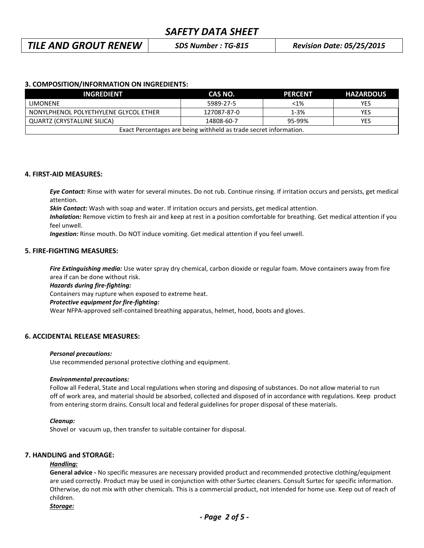# *TILE AND GROUT RENEW SDS Number : TG-815 Revision Date: 05/25/2015*

## **3. COMPOSITION/INFORMATION ON INGREDIENTS:**

| <b>INGREDIENT</b>                                                 | CAS NO.     | <b>PERCENT</b> | <b>HAZARDOUS</b> |  |  |
|-------------------------------------------------------------------|-------------|----------------|------------------|--|--|
| <b>LIMONENE</b>                                                   | 5989-27-5   | $< 1\%$        | YES              |  |  |
| NONYLPHENOL POLYETHYLENE GLYCOL ETHER                             | 127087-87-0 | $1 - 3%$       | <b>YES</b>       |  |  |
| QUARTZ (CRYSTALLINE SILICA)                                       | 14808-60-7  | 95-99%         | YES              |  |  |
| Exact Percentages are being withheld as trade secret information. |             |                |                  |  |  |

#### **4. FIRST-AID MEASURES:**

*Eye Contact:* Rinse with water for several minutes. Do not rub. Continue rinsing. If irritation occurs and persists, get medical attention.

*Skin Contact:* Wash with soap and water. If irritation occurs and persists, get medical attention.

*Inhalation:* Remove victim to fresh air and keep at rest in a position comfortable for breathing. Get medical attention if you feel unwell.

*Ingestion:* Rinse mouth. Do NOT induce vomiting. Get medical attention if you feel unwell.

## **5. FIRE-FIGHTING MEASURES:**

*Fire Extinguishing media:* Use water spray dry chemical, carbon dioxide or regular foam. Move containers away from fire area if can be done without risk.

*Hazards during fire-fighting:*

Containers may rupture when exposed to extreme heat.

#### *Protective equipment for fire-fighting:*

Wear NFPA-approved self-contained breathing apparatus, helmet, hood, boots and gloves.

### **6. ACCIDENTAL RELEASE MEASURES:**

#### *Personal precautions:*

Use recommended personal protective clothing and equipment.

#### *Environmental precautions:*

Follow all Federal, State and Local regulations when storing and disposing of substances. Do not allow material to run off of work area, and material should be absorbed, collected and disposed of in accordance with regulations. Keep product from entering storm drains. Consult local and federal guidelines for proper disposal of these materials.

#### *Cleanup:*

Shovel or vacuum up, then transfer to suitable container for disposal.

#### **7. HANDLING and STORAGE:**

#### *Handling:*

**General advice -** No specific measures are necessary provided product and recommended protective clothing/equipment are used correctly. Product may be used in conjunction with other Surtec cleaners. Consult Surtec for specific information. Otherwise, do not mix with other chemicals. This is a commercial product, not intended for home use. Keep out of reach of children.

#### *Storage:*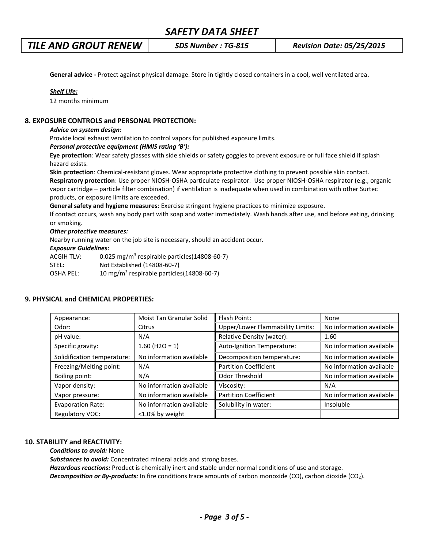# *TILE AND GROUT RENEW SDS Number : TG-815 Revision Date: 05/25/2015*

**General advice -** Protect against physical damage. Store in tightly closed containers in a cool, well ventilated area.

### *Shelf Life:*

12 months minimum

### **8. EXPOSURE CONTROLS and PERSONAL PROTECTION:**

#### *Advice on system design:*

Provide local exhaust ventilation to control vapors for published exposure limits.

#### *Personal protective equipment (HMIS rating 'B'):*

**Eye protection**: Wear safety glasses with side shields or safety goggles to prevent exposure or full face shield if splash hazard exists.

**Skin protection**: Chemical-resistant gloves. Wear appropriate protective clothing to prevent possible skin contact. **Respiratory protection**: Use proper NIOSH-OSHA particulate respirator. Use proper NIOSH-OSHA respirator (e.g., organic vapor cartridge – particle filter combination) if ventilation is inadequate when used in combination with other Surtec products, or exposure limits are exceeded.

**General safety and hygiene measures**: Exercise stringent hygiene practices to minimize exposure.

If contact occurs, wash any body part with soap and water immediately. Wash hands after use, and before eating, drinking or smoking.

#### *Other protective measures:*

Nearby running water on the job site is necessary, should an accident occur.

#### *Exposure Guidelines:*

| ACGIH TLV: | 0.025 mg/m <sup>3</sup> respirable particles(14808-60-7) |
|------------|----------------------------------------------------------|
| STEL:      | Not Established (14808-60-7)                             |
| OSHA PEL:  | 10 mg/m <sup>3</sup> respirable particles(14808-60-7)    |

# Appearance: Noist Tan Granular Solid Flash Point: None None Odor: Citrus Citrus Upper/Lower Flammability Limits: No information available pH value:  $\vert N/A \vert N/A \vert$  Relative Density (water):  $\vert 1.60 \vert$ Specific gravity:  $\begin{vmatrix} 1.60 \ (H2O = 1) \end{vmatrix}$  Auto-Ignition Temperature: No information available Solidification temperature: | No information available | Decomposition temperature: | No information available Freezing/Melting point:  $\bigwedge A$  Partition Coefficient No information available Boiling point:  $N/A$   $\parallel$  Odor Threshold  $\parallel$  No information available Vapor density:  $\vert$  No information available  $\vert$  Viscosity:  $\vert$  N/A Vapor pressure:  $\vert$  No information available  $\vert$  Partition Coefficient  $\vert$  No information available Evaporation Rate: No information available Solubility in water: | | Insoluble Regulatory VOC:  $\vert$  <1.0% by weight

### **9. PHYSICAL and CHEMICAL PROPERTIES:**

### **10. STABILITY and REACTIVITY:**

*Conditions to avoid:* None

*Substances to avoid:* Concentrated mineral acids and strong bases.

*Hazardous reactions:* Product is chemically inert and stable under normal conditions of use and storage. *Decomposition or By-products:* In fire conditions trace amounts of carbon monoxide (CO), carbon dioxide (CO2).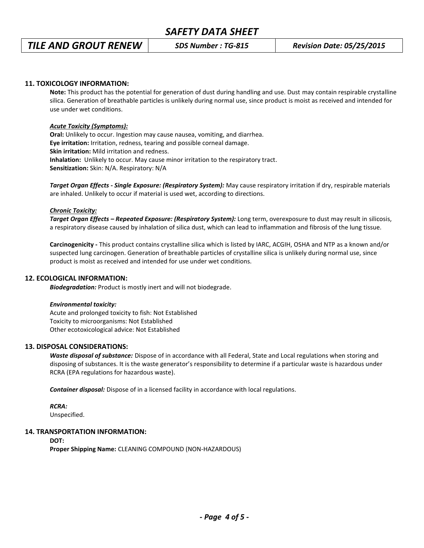# *TILE AND GROUT RENEW SDS Number : TG-815 Revision Date: 05/25/2015*

### **11. TOXICOLOGY INFORMATION:**

**Note:** This product has the potential for generation of dust during handling and use. Dust may contain respirable crystalline silica. Generation of breathable particles is unlikely during normal use, since product is moist as received and intended for use under wet conditions.

#### *Acute Toxicity (Symptoms):*

**Oral:** Unlikely to occur. Ingestion may cause nausea, vomiting, and diarrhea. **Eye irritation:** Irritation, redness, tearing and possible corneal damage. **Skin irritation:** Mild irritation and redness. **Inhalation:** Unlikely to occur. May cause minor irritation to the respiratory tract. **Sensitization:** Skin: N/A. Respiratory: N/A

*Target Organ Effects - Single Exposure: (Respiratory System):* May cause respiratory irritation if dry, respirable materials are inhaled. Unlikely to occur if material is used wet, according to directions.

#### *Chronic Toxicity:*

*Target Organ Effects – Repeated Exposure: (Respiratory System):* Long term, overexposure to dust may result in silicosis, a respiratory disease caused by inhalation of silica dust, which can lead to inflammation and fibrosis of the lung tissue.

**Carcinogenicity -** This product contains crystalline silica which is listed by IARC, ACGIH, OSHA and NTP as a known and/or suspected lung carcinogen. Generation of breathable particles of crystalline silica is unlikely during normal use, since product is moist as received and intended for use under wet conditions.

#### **12. ECOLOGICAL INFORMATION:**

*Biodegradation:* Product is mostly inert and will not biodegrade.

#### *Environmental toxicity:*

Acute and prolonged toxicity to fish: Not Established Toxicity to microorganisms: Not Established Other ecotoxicological advice: Not Established

#### **13. DISPOSAL CONSIDERATIONS:**

*Waste disposal of substance:* Dispose of in accordance with all Federal, State and Local regulations when storing and disposing of substances. It is the waste generator's responsibility to determine if a particular waste is hazardous under RCRA (EPA regulations for hazardous waste).

*Container disposal:* Dispose of in a licensed facility in accordance with local regulations.

### *RCRA:*

Unspecified.

### **14. TRANSPORTATION INFORMATION:**

**DOT:**

**Proper Shipping Name:** CLEANING COMPOUND (NON-HAZARDOUS)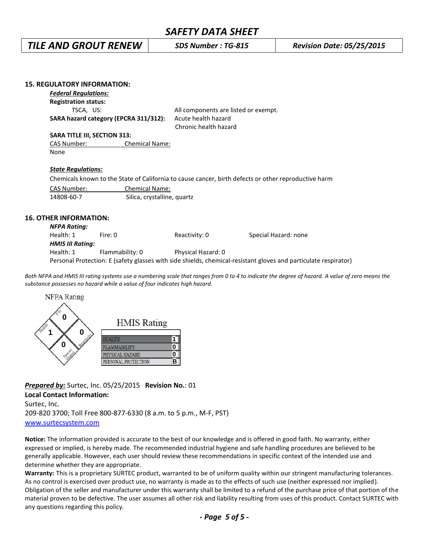# *TILE AND GROUT RENEW SDS Number : TG-815 Revision Date: 05/25/2015*

| <b>15. REGULATORY INFORMATION:</b>                                                                              |                             |                                      |                      |  |  |
|-----------------------------------------------------------------------------------------------------------------|-----------------------------|--------------------------------------|----------------------|--|--|
| <b>Federal Regulations:</b>                                                                                     |                             |                                      |                      |  |  |
| <b>Registration status:</b>                                                                                     |                             |                                      |                      |  |  |
| TSCA, US:                                                                                                       |                             | All components are listed or exempt. |                      |  |  |
| SARA hazard category (EPCRA 311/312):                                                                           |                             | Acute health hazard                  |                      |  |  |
|                                                                                                                 |                             | Chronic health hazard                |                      |  |  |
| <b>SARA TITLE III, SECTION 313:</b>                                                                             |                             |                                      |                      |  |  |
| CAS Number:                                                                                                     | <b>Chemical Name:</b>       |                                      |                      |  |  |
| None                                                                                                            |                             |                                      |                      |  |  |
|                                                                                                                 |                             |                                      |                      |  |  |
| <b>State Regulations:</b>                                                                                       |                             |                                      |                      |  |  |
| Chemicals known to the State of California to cause cancer, birth defects or other reproductive harm            |                             |                                      |                      |  |  |
| CAS Number:<br><b>Chemical Name:</b>                                                                            |                             |                                      |                      |  |  |
| 14808-60-7                                                                                                      | Silica, crystalline, quartz |                                      |                      |  |  |
|                                                                                                                 |                             |                                      |                      |  |  |
| <b>16. OTHER INFORMATION:</b>                                                                                   |                             |                                      |                      |  |  |
|                                                                                                                 |                             |                                      |                      |  |  |
| <b>NFPA Rating:</b>                                                                                             |                             |                                      |                      |  |  |
| Health: 1                                                                                                       | Fire: 0                     | Reactivity: 0                        | Special Hazard: none |  |  |
| <b>HMIS III Rating:</b>                                                                                         |                             |                                      |                      |  |  |
| Health: 1                                                                                                       | Flammability: 0             | Physical Hazard: 0                   |                      |  |  |
| Personal Protection: E (safety glasses with side shields, chemical-resistant gloves and particulate respirator) |                             |                                      |                      |  |  |

Both NFPA and HMIS III rating systems use a numbering scale that ranges from 0 to 4 to indicate the degree of hazard. A value of zero means the *substance possesses no hazard while a value of four indicates high hazard.*



*Prepared by:* Surtec, Inc. 05/25/2015 **Revision No.**: 01 **Local Contact Information:**

Surtec, Inc. 209-820 3700; Toll Free 800-877-6330 (8 a.m. to 5 p.m., M-F, PST) [www.surtecsystem.com](http://www.surtecsystem.com/)

**Notice:** The information provided is accurate to the best of our knowledge and is offered in good faith. No warranty, either expressed or implied, is hereby made. The recommended industrial hygiene and safe handling procedures are believed to be generally applicable. However, each user should review these recommendations in specific context of the intended use and determine whether they are appropriate.

**Warranty:** This is a proprietary SURTEC product, warranted to be of uniform quality within our stringent manufacturing tolerances. As no control is exercised over product use, no warranty is made as to the effects of such use (neither expressed nor implied). Obligation of the seller and manufacturer under this warranty shall be limited to a refund of the purchase price of that portion of the material proven to be defective. The user assumes all other risk and liability resulting from uses of this product. Contact SURTEC with any questions regarding this policy.